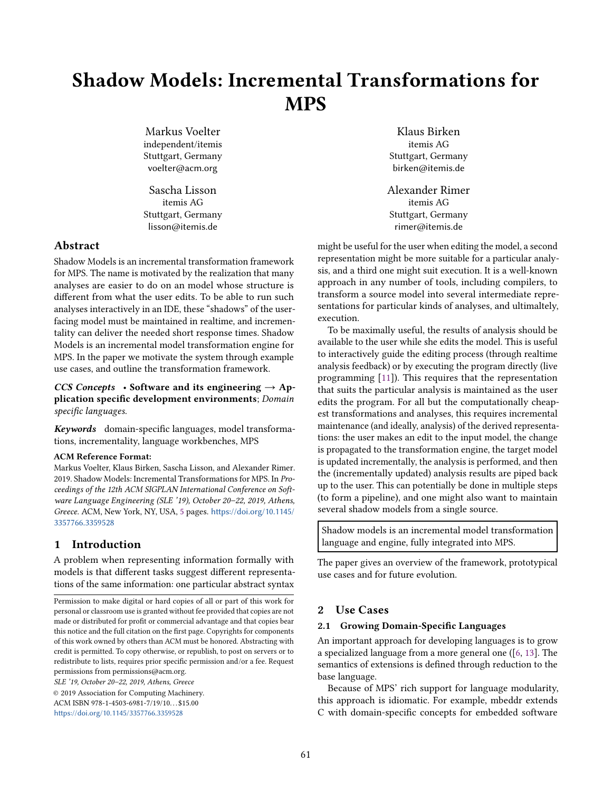# <span id="page-0-0"></span>Shadow Models: Incremental Transformations for MPS

Markus Voelter independent/itemis Stuttgart, Germany voelter@acm.org

Sascha Lisson itemis AG Stuttgart, Germany lisson@itemis.de

## Abstract

Shadow Models is an incremental transformation framework for MPS. The name is motivated by the realization that many analyses are easier to do on an model whose structure is different from what the user edits. To be able to run such analyses interactively in an IDE, these "shadows" of the userfacing model must be maintained in realtime, and incrementality can deliver the needed short response times. Shadow Models is an incremental model transformation engine for MPS. In the paper we motivate the system through example use cases, and outline the transformation framework.

CCS Concepts • Software and its engineering  $\rightarrow$  Application specific development environments; Domain specific languages.

Keywords domain-specific languages, model transformations, incrementality, language workbenches, MPS

#### ACM Reference Format:

Markus Voelter, Klaus Birken, Sascha Lisson, and Alexander Rimer. 2019. Shadow Models: Incremental Transformations for MPS. In Proceedings of the 12th ACM SIGPLAN International Conference on Software Language Engineering (SLE '19), October 20–22, 2019, Athens, Greece. ACM, New York, NY, USA, [5](#page-4-0) pages. [https://doi.org/10.1145/](https://doi.org/10.1145/3357766.3359528) [3357766.3359528](https://doi.org/10.1145/3357766.3359528)

## 1 Introduction

A problem when representing information formally with models is that different tasks suggest different representations of the same information: one particular abstract syntax

Permission to make digital or hard copies of all or part of this work for personal or classroom use is granted without fee provided that copies are not made or distributed for profit or commercial advantage and that copies bear this notice and the full citation on the first page. Copyrights for components of this work owned by others than ACM must be honored. Abstracting with credit is permitted. To copy otherwise, or republish, to post on servers or to redistribute to lists, requires prior specific permission and/or a fee. Request permissions from permissions@acm.org.

SLE '19, October 20–22, 2019, Athens, Greece

© 2019 Association for Computing Machinery. ACM ISBN 978-1-4503-6981-7/19/10...\$15.00 <https://doi.org/10.1145/3357766.3359528>

Klaus Birken itemis AG Stuttgart, Germany birken@itemis.de

Alexander Rimer itemis AG Stuttgart, Germany rimer@itemis.de

might be useful for the user when editing the model, a second representation might be more suitable for a particular analysis, and a third one might suit execution. It is a well-known approach in any number of tools, including compilers, to transform a source model into several intermediate representations for particular kinds of analyses, and ultimaltely, execution.

To be maximally useful, the results of analysis should be available to the user while she edits the model. This is useful to interactively guide the editing process (through realtime analysis feedback) or by executing the program directly (live programming [\[11\]](#page-4-1)). This requires that the representation that suits the particular analysis is maintained as the user edits the program. For all but the computationally cheapest transformations and analyses, this requires incremental maintenance (and ideally, analysis) of the derived representations: the user makes an edit to the input model, the change is propagated to the transformation engine, the target model is updated incrementally, the analysis is performed, and then the (incrementally updated) analysis results are piped back up to the user. This can potentially be done in multiple steps (to form a pipeline), and one might also want to maintain several shadow models from a single source.

Shadow models is an incremental model transformation language and engine, fully integrated into MPS.

The paper gives an overview of the framework, prototypical use cases and for future evolution.

# <span id="page-0-2"></span>2 Use Cases

## <span id="page-0-1"></span>2.1 Growing Domain-Specific Languages

An important approach for developing languages is to grow a specialized language from a more general one ([\[6,](#page-4-2) [13\]](#page-4-3). The semantics of extensions is defined through reduction to the base language.

Because of MPS' rich support for language modularity, this approach is idiomatic. For example, mbeddr extends C with domain-specific concepts for embedded software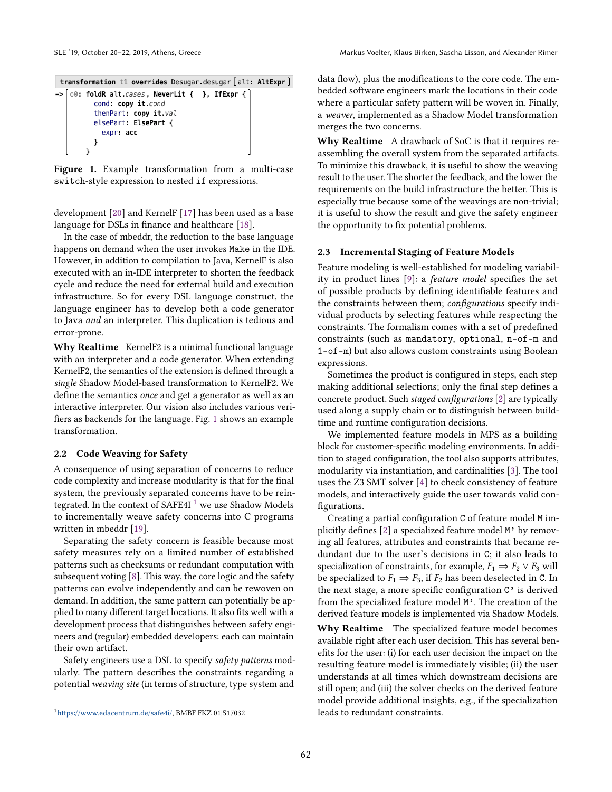```
transformation t1 overrides Desugar.desugar [alt: AltExpr]
   00: foldR alt.cases, NeverLit { }, IfExpr {
\rightarrowcond: copy it.cond
          thenPart: copy it.val
          elsePart: ElsePart {
            expr: acc
          ł
        \mathbf{1}
```
Figure 1. Example transformation from a multi-case switch-style expression to nested if expressions.

development [\[20\]](#page-4-4) and KernelF [\[17\]](#page-4-5) has been used as a base language for DSLs in finance and healthcare [\[18\]](#page-4-6).

In the case of mbeddr, the reduction to the base language happens on demand when the user invokes Make in the IDE. However, in addition to compilation to Java, KernelF is also executed with an in-IDE interpreter to shorten the feedback cycle and reduce the need for external build and execution infrastructure. So for every DSL language construct, the language engineer has to develop both a code generator to Java and an interpreter. This duplication is tedious and error-prone.

Why Realtime KernelF2 is a minimal functional language with an interpreter and a code generator. When extending KernelF2, the semantics of the extension is defined through a single Shadow Model-based transformation to KernelF2. We define the semantics once and get a generator as well as an interactive interpreter. Our vision also includes various verifiers as backends for the language. Fig. [1](#page-1-0) shows an example transformation.

#### <span id="page-1-1"></span>2.2 Code Weaving for Safety

A consequence of using separation of concerns to reduce code complexity and increase modularity is that for the final system, the previously separated concerns have to be reintegrated. In the context of SAFE4I $<sup>1</sup>$  $<sup>1</sup>$  $<sup>1</sup>$  we use Shadow Models</sup> to incrementally weave safety concerns into C programs written in mbeddr [\[19\]](#page-4-7).

Separating the safety concern is feasible because most safety measures rely on a limited number of established patterns such as checksums or redundant computation with subsequent voting [\[8\]](#page-4-8). This way, the core logic and the safety patterns can evolve independently and can be rewoven on demand. In addition, the same pattern can potentially be applied to many different target locations. It also fits well with a development process that distinguishes between safety engineers and (regular) embedded developers: each can maintain their own artifact.

Safety engineers use a DSL to specify safety patterns modularly. The pattern describes the constraints regarding a potential weaving site (in terms of structure, type system and

data flow), plus the modifications to the core code. The embedded software engineers mark the locations in their code where a particular safety pattern will be woven in. Finally, a weaver, implemented as a Shadow Model transformation merges the two concerns.

Why Realtime A drawback of SoC is that it requires reassembling the overall system from the separated artifacts. To minimize this drawback, it is useful to show the weaving result to the user. The shorter the feedback, and the lower the requirements on the build infrastructure the better. This is especially true because some of the weavings are non-trivial; it is useful to show the result and give the safety engineer the opportunity to fix potential problems.

#### 2.3 Incremental Staging of Feature Models

Feature modeling is well-established for modeling variability in product lines [\[9\]](#page-4-9): a feature model specifies the set of possible products by defining identifiable features and the constraints between them; configurations specify individual products by selecting features while respecting the constraints. The formalism comes with a set of predefined constraints (such as mandatory, optional, n-of-m and 1-of-m) but also allows custom constraints using Boolean expressions.

Sometimes the product is configured in steps, each step making additional selections; only the final step defines a concrete product. Such staged configurations [\[2\]](#page-4-10) are typically used along a supply chain or to distinguish between buildtime and runtime configuration decisions.

We implemented feature models in MPS as a building block for customer-specific modeling environments. In addition to staged configuration, the tool also supports attributes, modularity via instantiation, and cardinalities [\[3\]](#page-4-11). The tool uses the Z3 SMT solver [\[4\]](#page-4-12) to check consistency of feature models, and interactively guide the user towards valid configurations.

Creating a partial configuration C of feature model M implicitly defines [\[2\]](#page-4-10) a specialized feature model M' by removing all features, attributes and constraints that became redundant due to the user's decisions in C; it also leads to specialization of constraints, for example,  $F_1 \Rightarrow F_2 \vee F_3$  will be specialized to  $F_1 \Rightarrow F_3$ , if  $F_2$  has been deselected in C. In the next stage, a more specific configuration C' is derived from the specialized feature model M'. The creation of the derived feature models is implemented via Shadow Models.

Why Realtime The specialized feature model becomes available right after each user decision. This has several benefits for the user: (i) for each user decision the impact on the resulting feature model is immediately visible; (ii) the user understands at all times which downstream decisions are still open; and (iii) the solver checks on the derived feature model provide additional insights, e.g., if the specialization leads to redundant constraints.

<sup>1</sup><https://www.edacentrum.de/safe4i/>, BMBF FKZ 01|S17032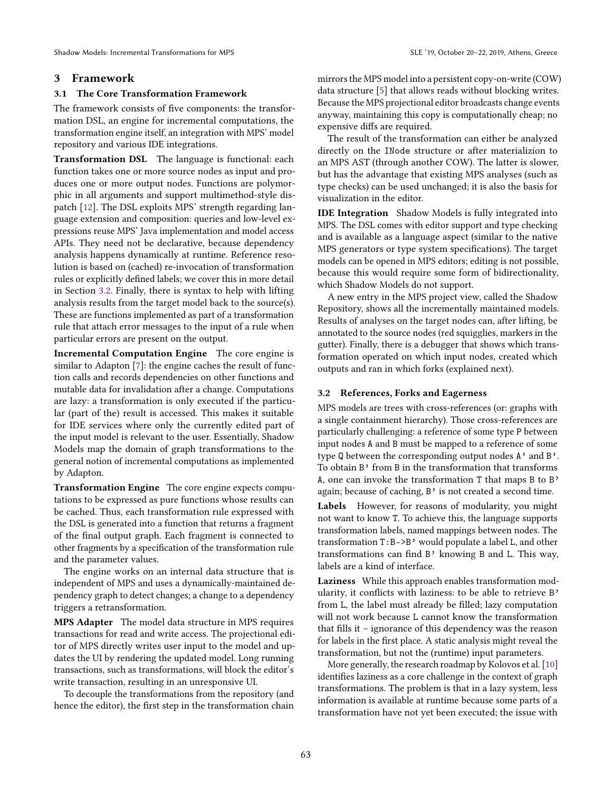## 3 Framework

#### 3.1 The Core Transformation Framework

The framework consists of five components: the transformation DSL, an engine for incremental computations, the transformation engine itself, an integration with MPS' model repository and various IDE integrations.

Transformation DSL The language is functional: each function takes one or more source nodes as input and produces one or more output nodes. Functions are polymorphic in all arguments and support multimethod-style dispatch [\[12\]](#page-4-13). The DSL exploits MPS' strength regarding language extension and composition: queries and low-level expressions reuse MPS' Java implementation and model access APIs. They need not be declarative, because dependency analysis happens dynamically at runtime. Reference resolution is based on (cached) re-invocation of transformation rules or explicitly defined labels; we cover this in more detail in Section [3.2.](#page-2-0) Finally, there is syntax to help with lifting analysis results from the target model back to the source(s). These are functions implemented as part of a transformation rule that attach error messages to the input of a rule when particular errors are present on the output.

Incremental Computation Engine The core engine is similar to Adapton [\[7\]](#page-4-14): the engine caches the result of function calls and records dependencies on other functions and mutable data for invalidation after a change. Computations are lazy: a transformation is only executed if the particular (part of the) result is accessed. This makes it suitable for IDE services where only the currently edited part of the input model is relevant to the user. Essentially, Shadow Models map the domain of graph transformations to the general notion of incremental computations as implemented by Adapton.

Transformation Engine The core engine expects computations to be expressed as pure functions whose results can be cached. Thus, each transformation rule expressed with the DSL is generated into a function that returns a fragment of the final output graph. Each fragment is connected to other fragments by a specification of the transformation rule and the parameter values.

The engine works on an internal data structure that is independent of MPS and uses a dynamically-maintained dependency graph to detect changes; a change to a dependency triggers a retransformation.

MPS Adapter The model data structure in MPS requires transactions for read and write access. The projectional editor of MPS directly writes user input to the model and updates the UI by rendering the updated model. Long running transactions, such as transformations, will block the editor's write transaction, resulting in an unresponsive UI.

To decouple the transformations from the repository (and hence the editor), the first step in the transformation chain mirrors the MPS model into a persistent copy-on-write (COW) data structure [\[5\]](#page-4-15) that allows reads without blocking writes. Because the MPS projectional editor broadcasts change events anyway, maintaining this copy is computationally cheap; no expensive diffs are required.

The result of the transformation can either be analyzed directly on the INode structure or after materializion to an MPS AST (through another COW). The latter is slower, but has the advantage that existing MPS analyses (such as type checks) can be used unchanged; it is also the basis for visualization in the editor.

IDE Integration Shadow Models is fully integrated into MPS. The DSL comes with editor support and type checking and is available as a language aspect (similar to the native MPS generators or type system specifications). The target models can be opened in MPS editors; editing is not possible, because this would require some form of bidirectionality, which Shadow Models do not support.

A new entry in the MPS project view, called the Shadow Repository, shows all the incrementally maintained models. Results of analyses on the target nodes can, after lifting, be annotated to the source nodes (red squigglies, markers in the gutter). Finally, there is a debugger that shows which transformation operated on which input nodes, created which outputs and ran in which forks (explained next).

#### <span id="page-2-0"></span>3.2 References, Forks and Eagerness

MPS models are trees with cross-references (or: graphs with a single containment hierarchy). Those cross-references are particularly challenging: a reference of some type P between input nodes A and B must be mapped to a reference of some type Q between the corresponding output nodes A' and B'. To obtain B' from B in the transformation that transforms A, one can invoke the transformation T that maps B to B' again; because of caching, B' is not created a second time.

Labels However, for reasons of modularity, you might not want to know T. To achieve this, the language supports transformation labels, named mappings between nodes. The transformation T:B->B' would populate a label L, and other transformations can find B' knowing B and L. This way, labels are a kind of interface.

Laziness While this approach enables transformation modularity, it conflicts with laziness: to be able to retrieve B' from L, the label must already be filled; lazy computation will not work because L cannot know the transformation that fills it – ignorance of this dependency was the reason for labels in the first place. A static analysis might reveal the transformation, but not the (runtime) input parameters.

More generally, the research roadmap by Kolovos et al. [\[10\]](#page-4-16) identifies laziness as a core challenge in the context of graph transformations. The problem is that in a lazy system, less information is available at runtime because some parts of a transformation have not yet been executed; the issue with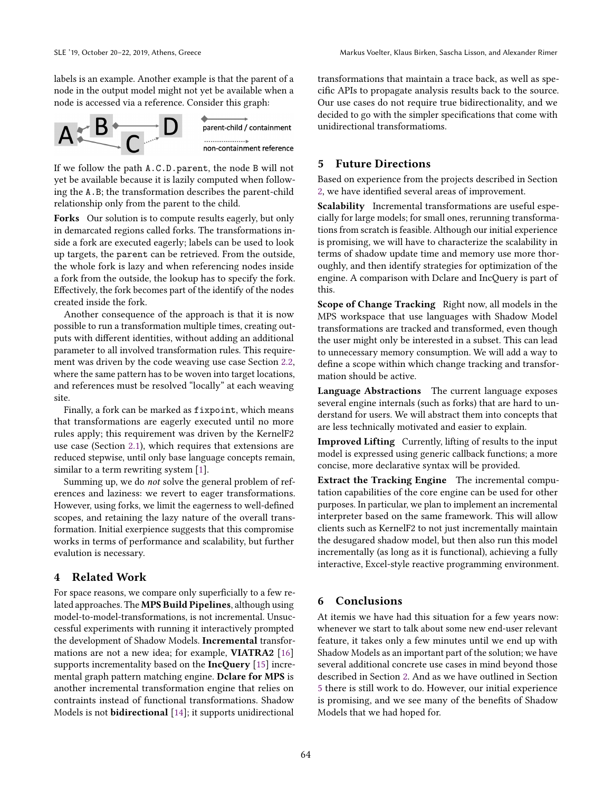labels is an example. Another example is that the parent of a node in the output model might not yet be available when a node is accessed via a reference. Consider this graph:



parent-child / containment non-containment reference

If we follow the path A.C.D.parent, the node B will not yet be available because it is lazily computed when following the A.B; the transformation describes the parent-child relationship only from the parent to the child.

Forks Our solution is to compute results eagerly, but only in demarcated regions called forks. The transformations inside a fork are executed eagerly; labels can be used to look up targets, the parent can be retrieved. From the outside, the whole fork is lazy and when referencing nodes inside a fork from the outside, the lookup has to specify the fork. Effectively, the fork becomes part of the identify of the nodes created inside the fork.

Another consequence of the approach is that it is now possible to run a transformation multiple times, creating outputs with different identities, without adding an additional parameter to all involved transformation rules. This requirement was driven by the code weaving use case Section [2.2,](#page-1-1) where the same pattern has to be woven into target locations, and references must be resolved "locally" at each weaving site.

Finally, a fork can be marked as fixpoint, which means that transformations are eagerly executed until no more rules apply; this requirement was driven by the KernelF2 use case (Section [2.1\)](#page-0-1), which requires that extensions are reduced stepwise, until only base language concepts remain, similar to a term rewriting system [\[1\]](#page-4-17).

Summing up, we do not solve the general problem of references and laziness: we revert to eager transformations. However, using forks, we limit the eagerness to well-defined scopes, and retaining the lazy nature of the overall transformation. Initial exerpience suggests that this compromise works in terms of performance and scalability, but further evalution is necessary.

# 4 Related Work

For space reasons, we compare only superficially to a few related approaches. The MPS Build Pipelines, although using model-to-model-transformations, is not incremental. Unsuccessful experiments with running it interactively prompted the development of Shadow Models. Incremental transformations are not a new idea; for example, VIATRA2 [\[16\]](#page-4-18) supports incrementality based on the IncQuery [\[15\]](#page-4-19) incremental graph pattern matching engine. Dclare for MPS is another incremental transformation engine that relies on contraints instead of functional transformations. Shadow Models is not bidirectional [\[14\]](#page-4-20); it supports unidirectional

transformations that maintain a trace back, as well as specific APIs to propagate analysis results back to the source. Our use cases do not require true bidirectionality, and we decided to go with the simpler specifications that come with unidirectional transformatioms.

### <span id="page-3-0"></span>5 Future Directions

Based on experience from the projects described in Section [2,](#page-0-2) we have identified several areas of improvement.

Scalability Incremental transformations are useful especially for large models; for small ones, rerunning transformations from scratch is feasible. Although our initial experience is promising, we will have to characterize the scalability in terms of shadow update time and memory use more thoroughly, and then identify strategies for optimization of the engine. A comparison with Dclare and IncQuery is part of this.

Scope of Change Tracking Right now, all models in the MPS workspace that use languages with Shadow Model transformations are tracked and transformed, even though the user might only be interested in a subset. This can lead to unnecessary memory consumption. We will add a way to define a scope within which change tracking and transformation should be active.

Language Abstractions The current language exposes several engine internals (such as forks) that are hard to understand for users. We will abstract them into concepts that are less technically motivated and easier to explain.

Improved Lifting Currently, lifting of results to the input model is expressed using generic callback functions; a more concise, more declarative syntax will be provided.

Extract the Tracking Engine The incremental computation capabilities of the core engine can be used for other purposes. In particular, we plan to implement an incremental interpreter based on the same framework. This will allow clients such as KernelF2 to not just incrementally maintain the desugared shadow model, but then also run this model incrementally (as long as it is functional), achieving a fully interactive, Excel-style reactive programming environment.

# 6 Conclusions

At itemis we have had this situation for a few years now: whenever we start to talk about some new end-user relevant feature, it takes only a few minutes until we end up with Shadow Models as an important part of the solution; we have several additional concrete use cases in mind beyond those described in Section [2.](#page-0-2) And as we have outlined in Section [5](#page-3-0) there is still work to do. However, our initial experience is promising, and we see many of the benefits of Shadow Models that we had hoped for.